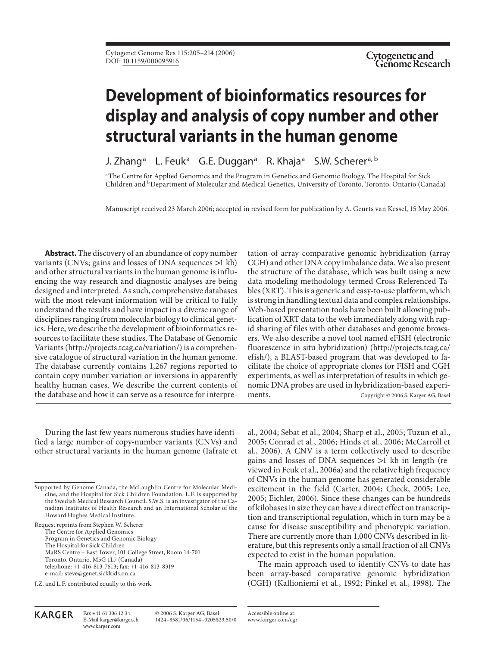# **Development of bioinformatics resources for display and analysis of copy number and other structural variants in the human genome**

J. Zhang<sup>a</sup> L. Feuk<sup>a</sup> G.E. Duggan<sup>a</sup> R. Khaja <sup>a</sup> S.W. Scherer<sup>a, b</sup>

 a The Centre for Applied Genomics and the Program in Genetics and Genomic Biology, The Hospital for Sick Children and <sup>b</sup> Department of Molecular and Medical Genetics, University of Toronto, Toronto, Ontario (Canada)

Manuscript received 23 March 2006; accepted in revised form for publication by A. Geurts van Kessel, 15 May 2006.

 **Abstract.** The discovery of an abundance of copy number variants (CNVs; gains and losses of DNA sequences  $>1$  kb) and other structural variants in the human genome is influencing the way research and diagnostic analyses are being designed and interpreted. As such, comprehensive databases with the most relevant information will be critical to fully understand the results and have impact in a diverse range of disciplines ranging from molecular biology to clinical genetics. Here, we describe the development of bioinformatics resources to facilitate these studies. The Database of Genomic Variants (http://projects.tcag.ca/variation/) is a comprehensive catalogue of structural variation in the human genome. The database currently contains 1,267 regions reported to contain copy number variation or inversions in apparently healthy human cases. We describe the current contents of the database and how it can serve as a resource for interpretation of array comparative genomic hybridization (array CGH) and other DNA copy imbalance data. We also present the structure of the database, which was built using a new data modeling methodology termed Cross-Referenced Tables (XRT). This is a generic and easy-to-use platform, which is strong in handling textual data and complex relationships. Web-based presentation tools have been built allowing publication of XRT data to the web immediately along with rapid sharing of files with other databases and genome browsers. We also describe a novel tool named eFISH (electronic fluorescence in situ hybridization) (http://projects.tcag.ca/ efish/), a BLAST-based program that was developed to facilitate the choice of appropriate clones for FISH and CGH experiments, as well as interpretation of results in which genomic DNA probes are used in hybridization-based experiments. Copyright © 2006 S. Karger AG, Basel

 During the last few years numerous studies have identified a large number of copy-number variants (CNVs) and other structural variants in the human genome (Iafrate et

 Request reprints from Stephen W. Scherer The Centre for Applied Genomics Program in Genetics and Genomic Biology The Hospital for Sick Children MaRS Centre – East Tower, 101 College Street, Room 14-701 Toronto, Ontario, M5G 1L7 (Canada) telephone: +1-416-813-7613; fax: +1-416-813-8319

e-mail: steve@genet.sickkids.on.ca

al., 2004; Sebat et al., 2004; Sharp et al., 2005; Tuzun et al., 2005; Conrad et al., 2006; Hinds et al., 2006; McCarroll et al., 2006). A CNV is a term collectively used to describe gains and losses of DNA sequences  $>1$  kb in length (reviewed in Feuk et al., 2006a) and the relative high frequency of CNVs in the human genome has generated considerable excitement in the field (Carter, 2004; Check, 2005; Lee, 2005; Eichler, 2006). Since these changes can be hundreds of kilobases in size they can have a direct effect on transcription and transcriptional regulation, which in turn may be a cause for disease susceptibility and phenotypic variation. There are currently more than 1,000 CNVs described in literature, but this represents only a small fraction of all CNVs expected to exist in the human population.

 The main approach used to identify CNVs to date has been array-based comparative genomic hybridization (CGH) (Kallioniemi et al., 1992; Pinkel et al., 1998). The



Fax +41 61 306 12 34 E-Mail karger@karger.ch www.karger.com

 © 2006 S. Karger AG, Basel 1424–8581/06/1154–0205\$23.50/0  Accessible online at: www.karger.com/cgr

Supported by Genome Canada, the McLaughlin Centre for Molecular Medicine, and the Hospital for Sick Children Foundation. L.F. is supported by the Swedish Medical Research Council. S.W.S. is an investigator of the Canadian Institutes of Health Research and an International Scholar of the Howard Hughes Medical Institute.

J.Z. and L.F. contributed equally to this work.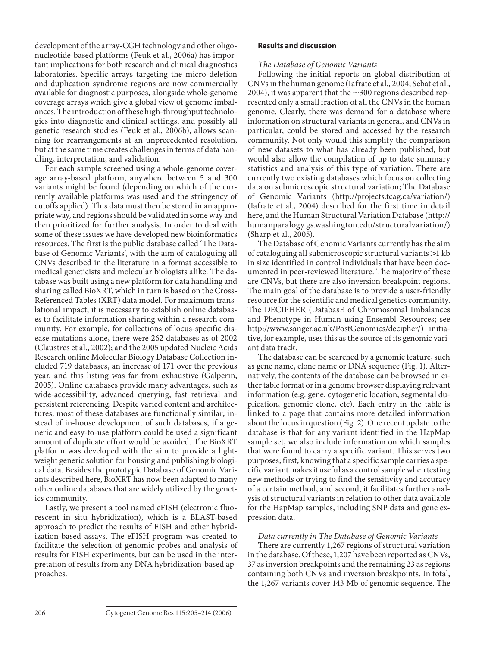development of the array-CGH technology and other oligonucleotide-based platforms (Feuk et al., 2006a) has important implications for both research and clinical diagnostics laboratories. Specific arrays targeting the micro-deletion and duplication syndrome regions are now commercially available for diagnostic purposes, alongside whole-genome coverage arrays which give a global view of genome imbalances. The introduction of these high-throughput technologies into diagnostic and clinical settings, and possibly all genetic research studies (Feuk et al., 2006b), allows scanning for rearrangements at an unprecedented resolution, but at the same time creates challenges in terms of data handling, interpretation, and validation.

 For each sample screened using a whole-genome coverage array-based platform, anywhere between 5 and 300 variants might be found (depending on which of the currently available platforms was used and the stringency of cutoffs applied). This data must then be stored in an appropriate way, and regions should be validated in some way and then prioritized for further analysis. In order to deal with some of these issues we have developed new bioinformatics resources. The first is the public database called 'The Database of Genomic Variants', with the aim of cataloguing all CNVs described in the literature in a format accessible to medical geneticists and molecular biologists alike. The database was built using a new platform for data handling and sharing called BioXRT, which in turn is based on the Cross-Referenced Tables (XRT) data model. For maximum translational impact, it is necessary to establish online databases to facilitate information sharing within a research community. For example, for collections of locus-specific disease mutations alone, there were 262 databases as of 2002 (Claustres et al., 2002); and the 2005 updated Nucleic Acids Research online Molecular Biology Database Collection included 719 databases, an increase of 171 over the previous year, and this listing was far from exhaustive (Galperin, 2005). Online databases provide many advantages, such as wide-accessibility, advanced querying, fast retrieval and persistent referencing. Despite varied content and architectures, most of these databases are functionally similar; instead of in-house development of such databases, if a generic and easy-to-use platform could be used a significant amount of duplicate effort would be avoided. The BioXRT platform was developed with the aim to provide a lightweight generic solution for housing and publishing biological data. Besides the prototypic Database of Genomic Variants described here, BioXRT has now been adapted to many other online databases that are widely utilized by the genetics community.

 Lastly, we present a tool named eFISH (electronic fluorescent in situ hybridization), which is a BLAST-based approach to predict the results of FISH and other hybridization-based assays. The eFISH program was created to facilitate the selection of genomic probes and analysis of results for FISH experiments, but can be used in the interpretation of results from any DNA hybridization-based approaches.

## **Results and discussion**

### *The Database of Genomic Variants*

 Following the initial reports on global distribution of CNVs in the human genome (Iafrate et al., 2004; Sebat et al., 2004), it was apparent that the  $\sim$ 300 regions described represented only a small fraction of all the CNVs in the human genome. Clearly, there was demand for a database where information on structural variants in general, and CNVs in particular, could be stored and accessed by the research community. Not only would this simplify the comparison of new datasets to what has already been published, but would also allow the compilation of up to date summary statistics and analysis of this type of variation. There are currently two existing databases which focus on collecting data on submicroscopic structural variation; The Database of Genomic Variants (http://projects.tcag.ca/variation/) (Iafrate et al., 2004) described for the first time in detail here, and the Human Structural Variation Database (http:// humanparalogy.gs.washington.edu/structuralvariation/) (Sharp et al., 2005).

 The Database of Genomic Variants currently has the aim of cataloguing all submicroscopic structural variants  $>1$  kb in size identified in control individuals that have been documented in peer-reviewed literature. The majority of these are CNVs, but there are also inversion breakpoint regions. The main goal of the database is to provide a user-friendly resource for the scientific and medical genetics community. The DECIPHER (DatabasE of Chromosomal Imbalances and Phenotype in Human using Ensembl Resources; see http://www.sanger.ac.uk/PostGenomics/decipher/) initiative, for example, uses this as the source of its genomic variant data track.

 The database can be searched by a genomic feature, such as gene name, clone name or DNA sequence (Fig. 1). Alternatively, the contents of the database can be browsed in either table format or in a genome browser displaying relevant information (e.g. gene, cytogenetic location, segmental duplication, genomic clone, etc). Each entry in the table is linked to a page that contains more detailed information about the locus in question (Fig. 2). One recent update to the database is that for any variant identified in the HapMap sample set, we also include information on which samples that were found to carry a specific variant. This serves two purposes; first, knowing that a specific sample carries a specific variant makes it useful as a control sample when testing new methods or trying to find the sensitivity and accuracy of a certain method, and second, it facilitates further analysis of structural variants in relation to other data available for the HapMap samples, including SNP data and gene expression data.

# *Data currently in The Database of Genomic Variants*

 There are currently 1,267 regions of structural variation in the database. Of these, 1,207 have been reported as CNVs, 37 as inversion breakpoints and the remaining 23 as regions containing both CNVs and inversion breakpoints. In total, the 1,267 variants cover 143 Mb of genomic sequence. The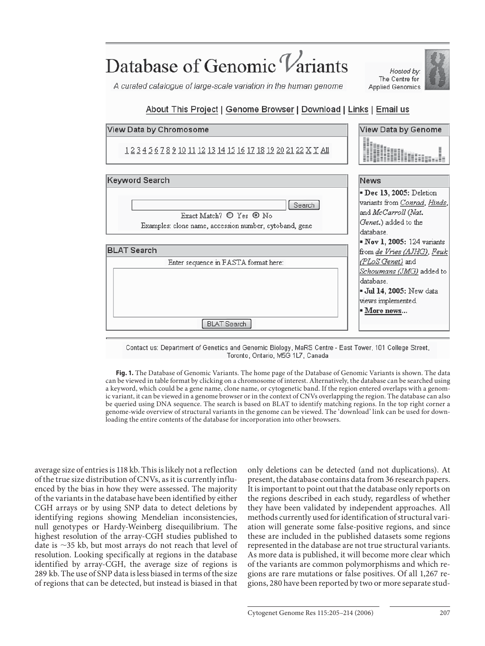

Database of Genomic Variants

A curated catalogue of large-scale variation in the human genome

Contact us: Department of Genetics and Genomic Biology, MaRS Centre - East Tower, 101 College Street, Toronto, Ontario, M5G 1L7, Canada

 **Fig. 1.** The Database of Genomic Variants. The home page of the Database of Genomic Variants is shown. The data can be viewed in table format by clicking on a chromosome of interest. Alternatively, the database can be searched using a keyword, which could be a gene name, clone name, or cytogenetic band. If the region entered overlaps with a genomic variant, it can be viewed in a genome browser or in the context of CNVs overlapping the region. The database can also be queried using DNA sequence. The search is based on BLAT to identify matching regions. In the top right corner a genome-wide overview of structural variants in the genome can be viewed. The 'download' link can be used for downloading the entire contents of the database for incorporation into other browsers.

average size of entries is 118 kb. This is likely not a reflection of the true size distribution of CNVs, as it is currently influenced by the bias in how they were assessed. The majority of the variants in the database have been identified by either CGH arrays or by using SNP data to detect deletions by identifying regions showing Mendelian inconsistencies, null genotypes or Hardy-Weinberg disequilibrium. The highest resolution of the array-CGH studies published to date is  $\sim$ 35 kb, but most arrays do not reach that level of resolution. Looking specifically at regions in the database identified by array-CGH, the average size of regions is 289 kb. The use of SNP data is less biased in terms of the size of regions that can be detected, but instead is biased in that only deletions can be detected (and not duplications). At present, the database contains data from 36 research papers. It is important to point out that the database only reports on the regions described in each study, regardless of whether they have been validated by independent approaches. All methods currently used for identification of structural variation will generate some false-positive regions, and since these are included in the published datasets some regions represented in the database are not true structural variants. As more data is published, it will become more clear which of the variants are common polymorphisms and which regions are rare mutations or false positives. Of all 1,267 regions, 280 have been reported by two or more separate stud-

Hosted by: The Centre for

Applied Genomics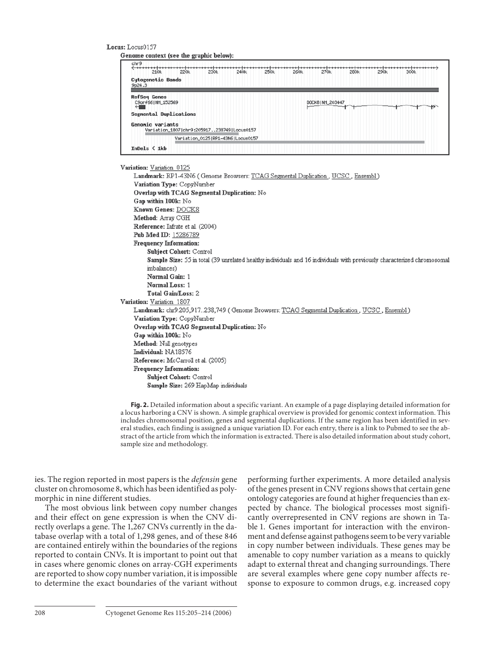Locus: Locus0157

Genome context (see the graphic below):

| 210k                                     | 220k | 230k                                       | 240 <sub>k</sub> | 250k | 260k | 270 <sub>k</sub>  | 280 <sub>k</sub> | 290k | 300 <sub>k</sub> |
|------------------------------------------|------|--------------------------------------------|------------------|------|------|-------------------|------------------|------|------------------|
| <b>Cytogenetic Bands</b><br>9p24.3       |      |                                            |                  |      |      |                   |                  |      |                  |
| <b>RefSeq Genes</b><br>C9orf661NM_152569 |      |                                            |                  |      |      | DOCK8   NM_203447 |                  |      |                  |
| $\leftarrow$<br>Segmental Duplications   |      |                                            |                  |      |      |                   |                  |      |                  |
| Genomic variants                         |      | Variation_1807 chr9:205917238749 Locus0157 |                  |      |      |                   |                  |      |                  |
|                                          |      | Variation_0125 RP1-43N6 Locus0157          |                  |      |      |                   |                  |      |                  |

Variation: Variation 0125

Landmark: RP1-43N6 (Genome Browsers: TCAG Segmental Duplication, UCSC, Ensembl) Variation Type: CopyNumber Overlap with TCAG Segmental Duplication: No Gap within 100k: No Known Genes: DOCK8 Method: Array CGH Reference: Iafrate et al. (2004) Pub Med ID: 15286789 **Frequency Information:** Subject Cohort: Control Sample Size: 55 in total (39 unrelated healthy individuals and 16 individuals with previously characterized chromosomal imbalances) Normal Gain: 1 **Normal Loss: 1** Total Gain/Loss: 2 Variation: Variation 1807 Landmark: chr9:205,917..238,749 (Genome Browsers: TCAG Segmental Duplication, UCSC, Ensembl) Variation Type: CopyNumber Overlap with TCAG Segmental Duplication: No Gap within 100k: No Method: Null genotypes Individual: NA18576 Reference: McCarroll et al. (2005) **Frequency Information:** Subject Cohort: Control Sample Size: 269 HapMap individuals

 **Fig. 2.** Detailed information about a specific variant. An example of a page displaying detailed information for a locus harboring a CNV is shown. A simple graphical overview is provided for genomic context information. This includes chromosomal position, genes and segmental duplications. If the same region has been identified in several studies, each finding is assigned a unique variation ID. For each entry, there is a link to Pubmed to see the abstract of the article from which the information is extracted. There is also detailed information about study cohort, sample size and methodology.

ies. The region reported in most papers is the *defensin* gene cluster on chromosome 8, which has been identified as polymorphic in nine different studies.

 The most obvious link between copy number changes and their effect on gene expression is when the CNV directly overlaps a gene. The 1,267 CNVs currently in the database overlap with a total of 1,298 genes, and of these 846 are contained entirely within the boundaries of the regions reported to contain CNVs. It is important to point out that in cases where genomic clones on array-CGH experiments are reported to show copy number variation, it is impossible to determine the exact boundaries of the variant without

performing further experiments. A more detailed analysis of the genes present in CNV regions shows that certain gene ontology categories are found at higher frequencies than expected by chance. The biological processes most significantly overrepresented in CNV regions are shown in Table 1. Genes important for interaction with the environment and defense against pathogens seem to be very variable in copy number between individuals. These genes may be amenable to copy number variation as a means to quickly adapt to external threat and changing surroundings. There are several examples where gene copy number affects response to exposure to common drugs, e.g. increased copy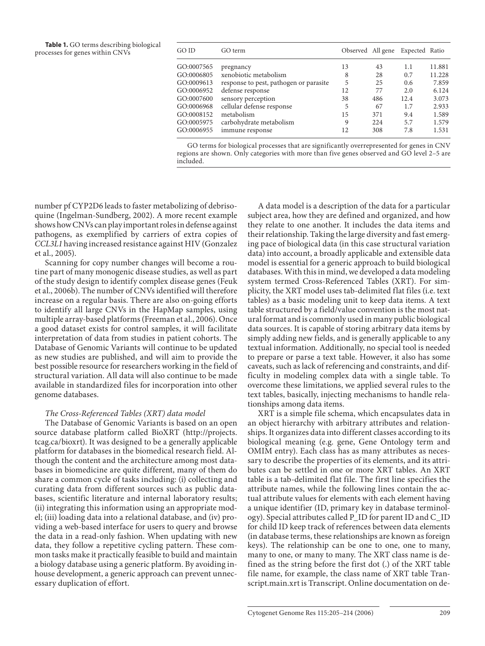**Table 1.** GO terms describing biological processes for genes within CNVs

| GO ID      | GO term                                |    |      | Observed Allgene Expected Ratio |        |
|------------|----------------------------------------|----|------|---------------------------------|--------|
| GO:0007565 | pregnancy                              | 13 | 43   | 1.1                             | 11.881 |
| GO:0006805 | xenobiotic metabolism                  | 8  | 28   | 0.7                             | 11.228 |
| GO:0009613 | response to pest, pathogen or parasite | 5  | 25   | 0.6                             | 7.859  |
| GO:0006952 | defense response                       | 12 | 77   | 2.0                             | 6.124  |
| GO:0007600 | sensory perception                     | 38 | 486  | 12.4                            | 3.073  |
| GO:0006968 | cellular defense response              | 5  | 67   | 1.7                             | 2.933  |
| GO:0008152 | metabolism                             | 15 | 371  | 9.4                             | 1.589  |
| GO:0005975 | carbohydrate metabolism                | 9  | 22.4 | 5.7                             | 1.579  |
| GO:0006955 | immune response                        | 12 | 308  | 7.8                             | 1.531  |

GO terms for biological processes that are significantly overrepresented for genes in CNV regions are shown. Only categories with more than five genes observed and GO level 2–5 are included.

number pf CYP2D6 leads to faster metabolizing of debrisoquine (Ingelman-Sundberg, 2002). A more recent example shows how CNVs can play important roles in defense against pathogens, as exemplified by carriers of extra copies of *CCL3L1* having increased resistance against HIV (Gonzalez et al., 2005).

 Scanning for copy number changes will become a routine part of many monogenic disease studies, as well as part of the study design to identify complex disease genes (Feuk et al., 2006b). The number of CNVs identified will therefore increase on a regular basis. There are also on-going efforts to identify all large CNVs in the HapMap samples, using multiple array-based platforms (Freeman et al., 2006). Once a good dataset exists for control samples, it will facilitate interpretation of data from studies in patient cohorts. The Database of Genomic Variants will continue to be updated as new studies are published, and will aim to provide the best possible resource for researchers working in the field of structural variation. All data will also continue to be made available in standardized files for incorporation into other genome databases.

#### *The Cross-Referenced Tables (XRT) data model*

 The Database of Genomic Variants is based on an open source database platform called BioXRT (http://projects. tcag.ca/bioxrt). It was designed to be a generally applicable platform for databases in the biomedical research field. Although the content and the architecture among most databases in biomedicine are quite different, many of them do share a common cycle of tasks including: (i) collecting and curating data from different sources such as public databases, scientific literature and internal laboratory results; (ii) integrating this information using an appropriate model; (iii) loading data into a relational database, and (iv) providing a web-based interface for users to query and browse the data in a read-only fashion. When updating with new data, they follow a repetitive cycling pattern. These common tasks make it practically feasible to build and maintain a biology database using a generic platform. By avoiding inhouse development, a generic approach can prevent unnecessary duplication of effort.

 A data model is a description of the data for a particular subject area, how they are defined and organized, and how they relate to one another. It includes the data items and their relationship. Taking the large diversity and fast emerging pace of biological data (in this case structural variation data) into account, a broadly applicable and extensible data model is essential for a generic approach to build biological databases. With this in mind, we developed a data modeling system termed Cross-Referenced Tables (XRT). For simplicity, the XRT model uses tab-delimited flat files (i.e. text tables) as a basic modeling unit to keep data items. A text table structured by a field/value convention is the most natural format and is commonly used in many public biological data sources. It is capable of storing arbitrary data items by simply adding new fields, and is generally applicable to any textual information. Additionally, no special tool is needed to prepare or parse a text table. However, it also has some caveats, such as lack of referencing and constraints, and difficulty in modeling complex data with a single table. To overcome these limitations, we applied several rules to the text tables, basically, injecting mechanisms to handle relationships among data items.

 XRT is a simple file schema, which encapsulates data in an object hierarchy with arbitrary attributes and relationships. It organizes data into different classes according to its biological meaning (e.g. gene, Gene Ontology term and OMIM entry). Each class has as many attributes as necessary to describe the properties of its elements, and its attributes can be settled in one or more XRT tables. An XRT table is a tab-delimited flat file. The first line specifies the attribute names, while the following lines contain the actual attribute values for elements with each element having a unique identifier (ID, primary key in database terminology). Special attributes called P\_ID for parent ID and C\_ID for child ID keep track of references between data elements (in database terms, these relationships are known as foreign keys). The relationship can be one to one, one to many, many to one, or many to many. The XRT class name is defined as the string before the first dot (.) of the XRT table file name, for example, the class name of XRT table Transcript.main.xrt is Transcript. Online documentation on de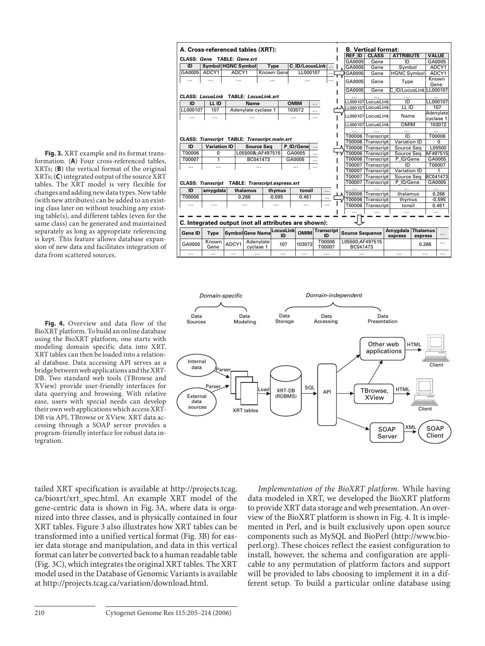**A. Cross-referenced tables (XRT): B. Vertical format: REF\_ID CLASS ATTRIBUTE VALUE**<br>GA0005 Gene ID GA0005 **CLASS:** *Gene* **TABLE:** *Gene.xrt* GA0005 **ID** Symbol **HGNC Symbol** Type **C\_ID/LocusLink** GA0005 Gene | Symbol | ADCY1<br>GA0005 Gene |HGNC Symbol ADCY1 GA0005 ADCY1 ADCY1 Known Gene LL000107 GA0005 Gene Type Known … … … … … … Gene<br>L00010  $GAO005$  Gene C\_ID/LocusLin I **CLASS:** *LocusLink* **TABLE:** *LocusLink.xrt* … … … … I **ID LL ID Name OMIM**<br> **LL000107** 107 **Adenylate cyclase 1** 103072 L000107 LocusLink ID LL000107<br>L000107 LocusLink LL ID 107 L000107 LocusLink LL ID 107<br>Cocoan Locustink Name Adenylate Adenvlate cycl L000107 LocusLink Name Ï … … … … … vclase 12<br>103072 L000107 LocusLink OMIM Ï … … … …  $\blacksquare$ T00006 Transcript ID T00006<br>T00006 Transcript Variation ID 0 **CLASS:** *Transcript* **TABLE:** *Transcript.main.xrt* Variation ID 0<br>
Source Seq L05500<br>
Source Seq AF497519 **ID Variation ID** Source Seq **P\_ID/Gene** T00006 Transcript Source Seq L05500 T00006 Transcript Source Seq AF497515<br>T00006 Transcript P\_ID/Gene GA0005 T00006 0 L05500&;AF497515 GA0005 ...<br>T00007 1 BC041473 GA0005 ... T00006 Transcript P\_ID/Gene GA0005<br>T00007 Transcript ID T00007 BC041473  $\overline{\phantom{a}}$ T00007 Transcript … … … … … Ï T00007 Transcript Variation ID 1<br>T00007 Transcript Source Seq BC041473 T00007 Transcript Source Seq BC04147<br>T00007 Transcript P\_ID/Gene GA0005  $\blacksquare$ **CLASS:** *Transcript* **TABLE:** *Transcript.express.xrt* T00007 Transcript Т … … … … ID amygdala thalamus thymus tonsil Transcript thalamus 0.266<br>200006 Transcript thymus -0.595 T00006 | | 0.266 | -0.595 | 0.461 |... T00006 Transcript  $\overline{\Gamma}$ … … … … … … T00006 Transcript tonsil 0.461 … … … … **C. Integrated output (not all attributes are shown):**<br>Cone ID Time SumbelCone Nem-LocusLink Casual Trans **ID Source Sequence Amygdala ID ID** Transcript<br>ID T00006 **Thalamus Gene ID** Type Symbol Gene Name LocusI **express express** … GA0005 Known Gene ADCY1 Adenylate cyclase 1 107 103072 T00006 L05500;AF497515 BC041473 0.266 … T00007 … … … … … … … … … … …

 **Fig. 3.** XRT example and its format transformation. (A) Four cross-referenced tables, XRTs; (**B**) the vertical format of the original XRTs; ( **C** ) integrated output of the source XRT tables. The XRT model is very flexible for changes and adding new data types. New table (with new attributes) can be added to an existing class later on without touching any existing table(s), and different tables (even for the same class) can be generated and maintained separately as long as appropriate referencing is kept. This feature allows database expansion of new data and facilitates integration of data from scattered sources.

 **Fig. 4.** Overview and data flow of the BioXRT platform. To build an online database using the BioXRT platform, one starts with modeling domain specific data into XRT. XRT tables can then be loaded into a relational database. Data accessing API serves as a bridge between web applications and the XRT-DB. Two standard web tools (TBrowse and XView) provide user-friendly interfaces for data querying and browsing. With relative ease, users with special needs can develop their own web applications which access XRT-DB via API, TBrowse or XView. XRT data accessing through a SOAP server provides a program-friendly interface for robust data integration.

XRT tables **TRrowse** XView **HTM** Other web applications XRT-DB  $XRT-DB$  SQL API Client **HTML** Client External data sources Internal data Parser Parser Data Sources Data **Storage** Data Accessing Data Modeling Data Presentation Load **SOAP** Server **SOAP** Client XML *Domain-specific Domain-independent*

tailed XRT specification is available at http://projects.tcag. ca/bioxrt/xrt\_spec.html. An example XRT model of the gene-centric data is shown in Fig. 3A, where data is organized into three classes, and is physically contained in four XRT tables. Figure 3 also illustrates how XRT tables can be transformed into a unified vertical format (Fig. 3B) for easier data storage and manipulation, and data in this vertical format can later be converted back to a human readable table (Fig. 3C), which integrates the original XRT tables. The XRT model used in the Database of Genomic Variants is available at http://projects.tcag.ca/variation/download.html.

 *Implementation of the BioXRT platform.* While having data modeled in XRT, we developed the BioXRT platform to provide XRT data storage and web presentation. An overview of the BioXRT platform is shown in Fig. 4 . It is implemented in Perl, and is built exclusively upon open source components such as MySQL and BioPerl (http://www.bioperl.org). These choices reflect the easiest configuration to install, however, the schema and configuration are applicable to any permutation of platform factors and support will be provided to labs choosing to implement it in a different setup. To build a particular online database using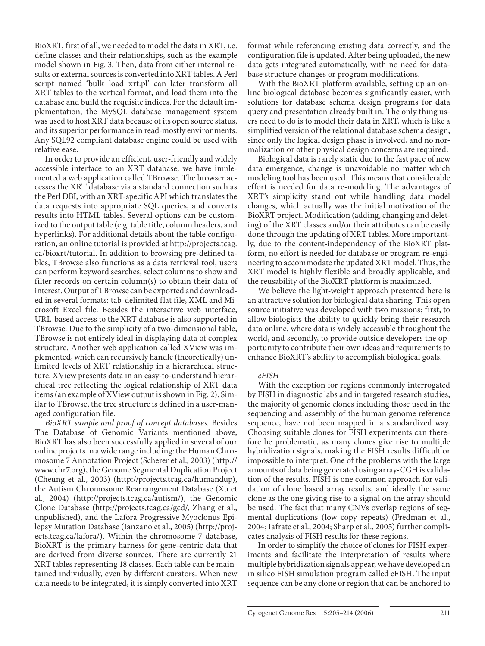BioXRT, first of all, we needed to model the data in XRT, i.e. define classes and their relationships, such as the example model shown in Fig. 3 . Then, data from either internal results or external sources is converted into XRT tables. A Perl script named 'bulk load xrt.pl' can later transform all XRT tables to the vertical format, and load them into the database and build the requisite indices. For the default implementation, the MySQL database management system was used to host XRT data because of its open source status, and its superior performance in read-mostly environments. Any SQL92 compliant database engine could be used with relative ease.

 In order to provide an efficient, user-friendly and widely accessible interface to an XRT database, we have implemented a web application called TBrowse. The browser accesses the XRT database via a standard connection such as the Perl DBI, with an XRT-specific API which translates the data requests into appropriate SQL queries, and converts results into HTML tables. Several options can be customized to the output table (e.g. table title, column headers, and hyperlinks). For additional details about the table configuration, an online tutorial is provided at http://projects.tcag. ca/bioxrt/tutorial. In addition to browsing pre-defined tables, TBrowse also functions as a data retrieval tool, users can perform keyword searches, select columns to show and filter records on certain column(s) to obtain their data of interest. Output of TBrowse can be exported and downloaded in several formats: tab-delimited flat file, XML and Microsoft Excel file. Besides the interactive web interface, URL-based access to the XRT database is also supported in TBrowse. Due to the simplicity of a two-dimensional table, TBrowse is not entirely ideal in displaying data of complex structure. Another web application called XView was implemented, which can recursively handle (theoretically) unlimited levels of XRT relationship in a hierarchical structure. XView presents data in an easy-to-understand hierarchical tree reflecting the logical relationship of XRT data items (an example of XView output is shown in Fig. 2). Similar to TBrowse, the tree structure is defined in a user-managed configuration file.

 *BioXRT sample and proof of concept databases.* Besides The Database of Genomic Variants mentioned above, BioXRT has also been successfully applied in several of our online projects in a wide range including: the Human Chromosome 7 Annotation Project (Scherer et al., 2003) (http:// www.chr7.org), the Genome Segmental Duplication Project (Cheung et al., 2003) (http://projects.tcag.ca/humandup), the Autism Chromosome Rearrangement Database (Xu et al., 2004) (http://projects.tcag.ca/autism/), the Genomic Clone Database (http://projects.tcag.ca/gcd/, Zhang et al., unpublished), and the Lafora Progressive Myoclonus Epilepsy Mutation Database (Ianzano et al., 2005) (http://projects.tcag.ca/lafora/). Within the chromosome 7 database, BioXRT is the primary harness for gene-centric data that are derived from diverse sources. There are currently 21 XRT tables representing 18 classes. Each table can be maintained individually, even by different curators. When new data needs to be integrated, it is simply converted into XRT

format while referencing existing data correctly, and the configuration file is updated. After being uploaded, the new data gets integrated automatically, with no need for database structure changes or program modifications.

 With the BioXRT platform available, setting up an online biological database becomes significantly easier, with solutions for database schema design programs for data query and presentation already built in. The only thing users need to do is to model their data in XRT, which is like a simplified version of the relational database schema design, since only the logical design phase is involved, and no normalization or other physical design concerns are required.

 Biological data is rarely static due to the fast pace of new data emergence, change is unavoidable no matter which modeling tool has been used. This means that considerable effort is needed for data re-modeling. The advantages of XRT's simplicity stand out while handling data model changes, which actually was the initial motivation of the BioXRT project. Modification (adding, changing and deleting) of the XRT classes and/or their attributes can be easily done through the updating of XRT tables. More importantly, due to the content-independency of the BioXRT platform, no effort is needed for database or program re-engineering to accommodate the updated XRT model. Thus, the XRT model is highly flexible and broadly applicable, and the reusability of the BioXRT platform is maximized.

 We believe the light-weight approach presented here is an attractive solution for biological data sharing. This open source initiative was developed with two missions; first, to allow biologists the ability to quickly bring their research data online, where data is widely accessible throughout the world, and secondly, to provide outside developers the opportunity to contribute their own ideas and requirements to enhance BioXRT's ability to accomplish biological goals.

# *eFISH*

 With the exception for regions commonly interrogated by FISH in diagnostic labs and in targeted research studies, the majority of genomic clones including those used in the sequencing and assembly of the human genome reference sequence, have not been mapped in a standardized way. Choosing suitable clones for FISH experiments can therefore be problematic, as many clones give rise to multiple hybridization signals, making the FISH results difficult or impossible to interpret. One of the problems with the large amounts of data being generated using array-CGH is validation of the results. FISH is one common approach for validation of clone based array results, and ideally the same clone as the one giving rise to a signal on the array should be used. The fact that many CNVs overlap regions of segmental duplications (low copy repeats) (Fredman et al., 2004; Iafrate et al., 2004; Sharp et al., 2005) further complicates analysis of FISH results for these regions.

 In order to simplify the choice of clones for FISH experiments and facilitate the interpretation of results where multiple hybridization signals appear, we have developed an in silico FISH simulation program called eFISH. The input sequence can be any clone or region that can be anchored to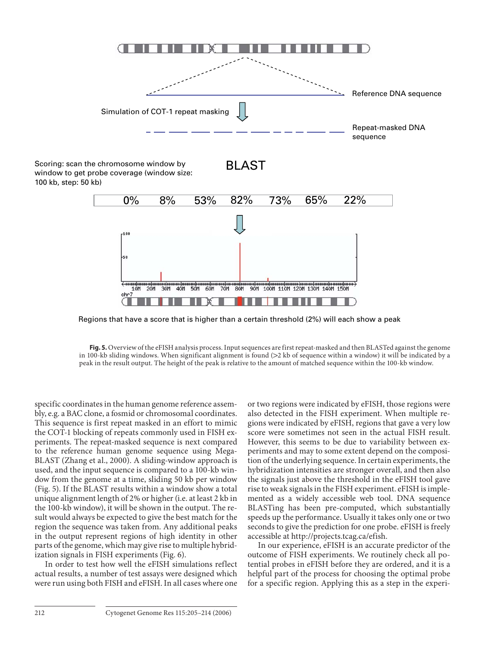

Regions that have a score that is higher than a certain threshold (2%) will each show a peak

 **Fig. 5.** Overview of the eFISH analysis process. Input sequences are first repeat-masked and then BLASTed against the genome in 100-kb sliding windows. When significant alignment is found  $(22 \text{ kb})$  of sequence within a window) it will be indicated by a peak in the result output. The height of the peak is relative to the amount of matched sequence within the 100-kb window.

specific coordinates in the human genome reference assembly, e.g. a BAC clone, a fosmid or chromosomal coordinates. This sequence is first repeat masked in an effort to mimic the COT-1 blocking of repeats commonly used in FISH experiments. The repeat-masked sequence is next compared to the reference human genome sequence using Mega-BLAST (Zhang et al., 2000). A sliding-window approach is used, and the input sequence is compared to a 100-kb window from the genome at a time, sliding 50 kb per window (Fig. 5). If the BLAST results within a window show a total unique alignment length of 2% or higher (i.e. at least 2 kb in the 100-kb window), it will be shown in the output. The result would always be expected to give the best match for the region the sequence was taken from. Any additional peaks in the output represent regions of high identity in other parts of the genome, which may give rise to multiple hybridization signals in FISH experiments (Fig. 6).

 In order to test how well the eFISH simulations reflect actual results, a number of test assays were designed which were run using both FISH and eFISH. In all cases where one

or two regions were indicated by eFISH, those regions were also detected in the FISH experiment. When multiple regions were indicated by eFISH, regions that gave a very low score were sometimes not seen in the actual FISH result. However, this seems to be due to variability between experiments and may to some extent depend on the composition of the underlying sequence. In certain experiments, the hybridization intensities are stronger overall, and then also the signals just above the threshold in the eFISH tool gave rise to weak signals in the FISH experiment. eFISH is implemented as a widely accessible web tool. DNA sequence BLASTing has been pre-computed, which substantially speeds up the performance. Usually it takes only one or two seconds to give the prediction for one probe. eFISH is freely accessible at http://projects.tcag.ca/efish.

 In our experience, eFISH is an accurate predictor of the outcome of FISH experiments. We routinely check all potential probes in eFISH before they are ordered, and it is a helpful part of the process for choosing the optimal probe for a specific region. Applying this as a step in the experi-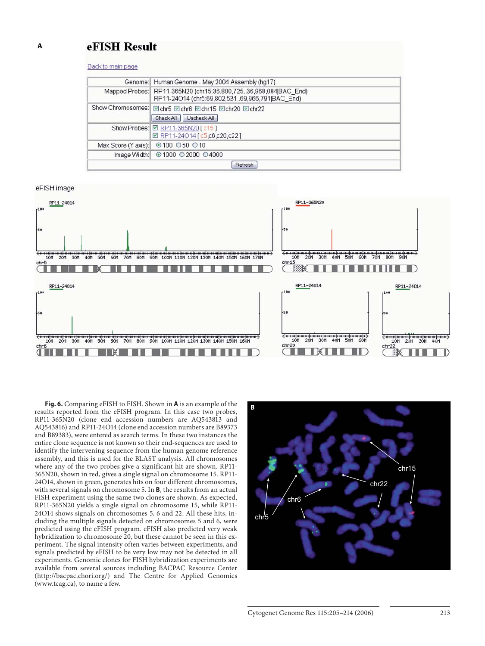#### eFISH Result A

Back to main page

| Genome: Human Genome - May 2004 Assembly (hq17)                                                                   |
|-------------------------------------------------------------------------------------------------------------------|
| Mapped Probes: RP11-365N20 (chr15:36,800,72536,968,084 BAC_End)<br>RP11-24014 (chr5:69,802,53169,966,791 BAC End) |
| Show Chromosomes:   2chr5 2chr6 2chr15 2chr20 2chr22                                                              |
| Uncheck All<br>Check All                                                                                          |
| Show Probes: 2 RP11-365N20 [ c15 ]                                                                                |
| ☑ RP11-24014 [c5,c6,c20,c22]                                                                                      |
| Max Score (Y axis): 0 100 0 50 0 10                                                                               |
| Image Width: 0 1000 0 2000 0 4000                                                                                 |
| Refresh                                                                                                           |

eFISH image



**Fig. 6.** Comparing eFISH to FISH. Shown in **A** is an example of the results reported from the eFISH program. In this case two probes, RP11-365N20 (clone end accession numbers are AQ543813 and AQ543816) and RP11-24O14 (clone end accession numbers are B89373 and B89383), were entered as search terms. In these two instances the entire clone sequence is not known so their end-sequences are used to identify the intervening sequence from the human genome reference assembly, and this is used for the BLAST analysis. All chromosomes where any of the two probes give a significant hit are shown. RP11- 365N20, shown in red, gives a single signal on chromosome 15. RP11- 24O14, shown in green, generates hits on four different chromosomes, with several signals on chromosome 5. In **B**, the results from an actual FISH experiment using the same two clones are shown. As expected, RP11-365N20 yields a single signal on chromosome 15, while RP11- 24O14 shows signals on chromosomes 5, 6 and 22. All these hits, including the multiple signals detected on chromosomes 5 and 6, were predicted using the eFISH program. eFISH also predicted very weak hybridization to chromosome 20, but these cannot be seen in this experiment. The signal intensity often varies between experiments, and signals predicted by eFISH to be very low may not be detected in all experiments. Genomic clones for FISH hybridization experiments are available from several sources including BACPAC Resource Center (http://bacpac.chori.org/) and The Centre for Applied Genomics (www.tcag.ca), to name a few.



Cytogenet Genome Res 115:205–214 (2006) 213